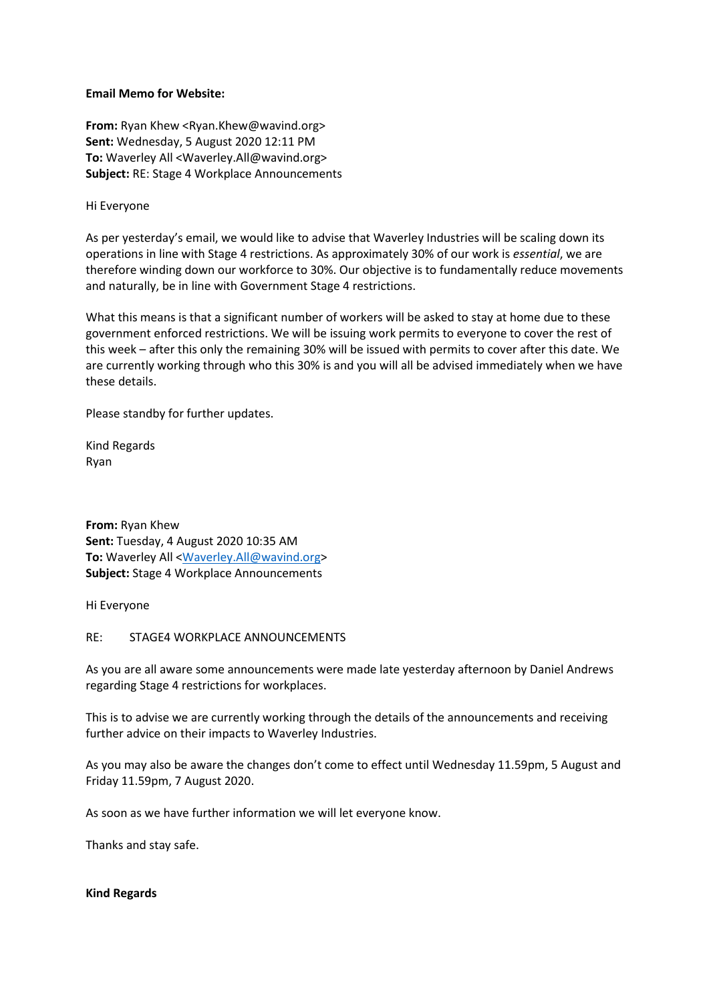## **Email Memo for Website:**

**From:** Ryan Khew <Ryan.Khew@wavind.org> **Sent:** Wednesday, 5 August 2020 12:11 PM **To:** Waverley All <Waverley.All@wavind.org> **Subject:** RE: Stage 4 Workplace Announcements

## Hi Everyone

As per yesterday's email, we would like to advise that Waverley Industries will be scaling down its operations in line with Stage 4 restrictions. As approximately 30% of our work is *essential*, we are therefore winding down our workforce to 30%. Our objective is to fundamentally reduce movements and naturally, be in line with Government Stage 4 restrictions.

What this means is that a significant number of workers will be asked to stay at home due to these government enforced restrictions. We will be issuing work permits to everyone to cover the rest of this week – after this only the remaining 30% will be issued with permits to cover after this date. We are currently working through who this 30% is and you will all be advised immediately when we have these details.

Please standby for further updates.

Kind Regards Ryan

**From:** Ryan Khew **Sent:** Tuesday, 4 August 2020 10:35 AM **To:** Waverley All [<Waverley.All@wavind.org>](mailto:Waverley.All@wavind.org) **Subject:** Stage 4 Workplace Announcements

Hi Everyone

# RE: STAGE4 WORKPLACE ANNOUNCEMENTS

As you are all aware some announcements were made late yesterday afternoon by Daniel Andrews regarding Stage 4 restrictions for workplaces.

This is to advise we are currently working through the details of the announcements and receiving further advice on their impacts to Waverley Industries.

As you may also be aware the changes don't come to effect until Wednesday 11.59pm, 5 August and Friday 11.59pm, 7 August 2020.

As soon as we have further information we will let everyone know.

Thanks and stay safe.

### **Kind Regards**